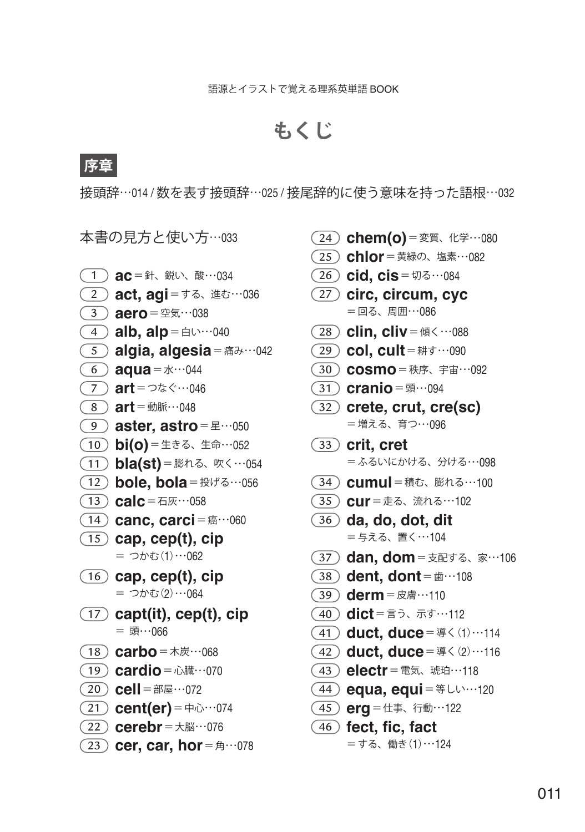## **もくじ**

## **序章**

接頭辞…014 / 数を表す接頭辞…025 / 接尾辞的に使う意味を持った語根…032

本書の見方と使い方…<sup>033</sup>

- 1 **ac** =針、鋭い、酸…<sup>034</sup> 2 **act, agi** =する、進む…<sup>036</sup> 3 **aero** =空気…<sup>038</sup> **4) alb, alp** = 白い…040 **5** algia, algesia = 痛み…042 **6 aqua** =  $x \cdots 044$ 7 **art** =つなぐ…<sup>046</sup> 8 **art** =動脈…<sup>048</sup> **9 aster, astro** =星…050 10 **bi(o)** =生きる、生命…<sup>052</sup> 11 **bla(st)** =膨れる、吹く…<sup>054</sup> 12 **bole, bola** = 投げる…056  $(13)$  calc = 石灰…058 **(14) canc, carci** =癌…060 15 **cap, cep(t), cip**  = つかむ(1)…062 16 **cap, cep(t), cip**   $=$  つかむ(2)…064 17 **capt(it), cep(t), cip**   $= ③...066$ 18 **carbo** =木炭…<sup>068</sup> **19 cardio** = 心臓…070  $\widehat{(20)}$  **cell** = 部屋…072 **21) cent(er)** =  $\#$ 心…074 22 **cerebr** =大脳…<sup>076</sup> **(23) cer, car, hor** = 角…078
- **24) chem(o)** = 変質、化学…080
- 25 **chlor** =黄緑の、塩素…<sup>082</sup>
- 26) **cid. cis** = 切る…084
- 27 **circ, circum, cyc**  =回る、周囲…086
- **28 clin, cliv** =傾く…088
- 29 **col, cult** =耕す…<sup>090</sup>
- 30 **cosmo** =秩序、宇宙…<sup>092</sup>
- 31 **cranio** =頭…<sup>094</sup>
- 32 **crete, crut, cre(sc)**  =増える、育つ…096
- 33 **crit, cret**  =ふるいにかける、分ける…098
- 34 **cumul** =積む、膨れる…<sup>100</sup>
- 35 **cur** =走る、流れる…<sup>102</sup>
- 36 **da, do, dot, dit**  =与える、置く…104
- 37) dan, dom = 支配する、家…106
- **38 dent, dont** = 歯…108
- 39 **derm** =皮膚…<sup>110</sup>
- 40 **dict** =言う、示す…<sup>112</sup>
- 41 **duct, duce** =導く(1)…<sup>114</sup>
- 42 **duct, duce** =導く(2)…<sup>116</sup>
- 43 **electr** =電気、琥珀…<sup>118</sup>
- **44) equa, equi** = #Lい…120
- 45 **erg** =仕事、行動…<sup>122</sup>
- 46 **fect, fic, fact** 
	- =する、働き(1)…124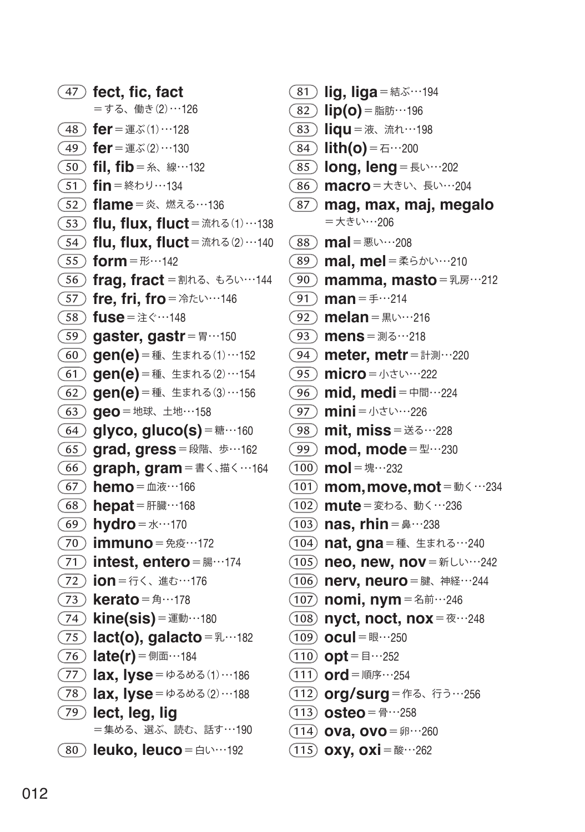**fect, fic, fact**  =する、働き(2)…126  $(48)$  **fer** = 運ぶ(1)…128  $(49)$  **fer** = 運ぶ(2)…130  **fil, fib** =糸、線…<sup>132</sup>  $(51)$  **fin** = 終わり…134  **flame** =炎、燃える…<sup>136</sup>  **flu, flux, fluct** =流れる(1)…<sup>138</sup>  **flu, flux, fluct** =流れる(2)…<sup>140</sup>  $(55)$  form =  $E$ …142  **frag, fract** =割れる、もろい…<sup>144</sup> **(57) fre, fri, fro** = 冷たい…146  **fuse** =注ぐ…<sup>148</sup>  **gaster, gastr** =胃…<sup>150</sup>  **gen(e)** =種、生まれる(1)…<sup>152</sup>  **gen(e)** =種、生まれる(2)…<sup>154</sup>  **gen(e)** =種、生まれる(3)…<sup>156</sup>  **geo** =地球、土地…<sup>158</sup>  $(64)$  glyco, gluco(s) =  $\text{\#} \cdots 160$  **grad, gress** =段階、歩…<sup>162</sup>  **graph, gram** =書く、描く…<sup>164</sup>  **hemo** =血液…<sup>166</sup> **68 hepat** = 肝臓…168 **69 hydro** = 水…170  **immuno** =免疫…<sup>172</sup>  **intest, entero** =腸…<sup>174</sup>  **ion** =行く、進む…<sup>176</sup>  **kerato** =角…<sup>178</sup>  **kine(sis)** =運動…<sup>180</sup>  **lact(o), galacto** =乳…<sup>182</sup>  **late(r)** =側面…<sup>184</sup>  **lax, lyse** =ゆるめる(1)…<sup>186</sup>  **lax, lyse** =ゆるめる(2)…<sup>188</sup>  **lect, leg, lig**  =集める、選ぶ、読む、話す…190 **leuko, leuco** = 白い…192

- **81) lig, liga** = 結ぶ…194 **(82) lip(o)** =脂肪…196  **liqu** =液、流れ…<sup>198</sup> **84) lith(o)** = 石…200 **85) long, leng** = 長い…202 86) macro = 大きい、長い…204  **mag, max, maj, megalo**  =大きい…206 **mal** = 悪い…208 **(89) mal, mel** =柔らかい…210  **mamma, masto** =乳房…<sup>212</sup>  $(91)$  **man** =  $\mp$  …214 92 melan = 黒い…216 mens = 測る…218  **meter, metr** =計測…<sup>220</sup>  **micro** =小さい…<sup>222</sup> **(96) mid, medi** = 中間…224 **(97) mini** = 小さい…226  **mit, miss** =送る…<sup>228</sup>  **mod, mode** =型…<sup>230</sup>  $(100)$  **mol** =  $\frac{1}{2}$   $\cdots$  232  **mom, move, mot** =動く…<sup>234</sup>  **mute** =変わる、動く…<sup>236</sup>  **nas, rhin** =鼻…<sup>238</sup>  **nat, gna** =種、生まれる…<sup>240</sup> **neo, new, nov** = 新しい…242  $(106)$  nerv, neuro = 腱、神経…244  **nomi, nym** =名前…<sup>246</sup> **108 nyct, noct, nox** = 夜…248  $(109)$  **ocul** =  $\mathbb{R}^{11}$  = 250  $(110)$  **opt** =  $\equiv$   $\cdots$ 252  $(111)$  ord = 順序…254  **org / surg** =作る、行う…<sup>256</sup>  $(113)$  **osteo** = 骨…258  **ova, ovo** =卵…<sup>260</sup>
	- **(115) oxy, oxi** =酸…262